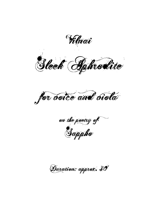(Vilnai

Sleek Aphrodite

for boice and biola

on the poetry of

Duration: approx. 30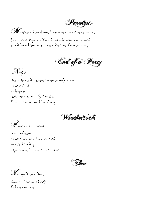Paralysis

Mother darling, <sup>I</sup> can't work the loom, for sleek Aphrodite has almost crushed and broken mewith desire for a boy.



Night

has tossed peace into confusion. The mind collapses. Yet come, my friends, for soon it will be day.

Weathercocks

I am conscious

how often those whom I treated most kindly especially injure me now.



I<sup>n</sup> gold sandals dawn like a thief fell upon me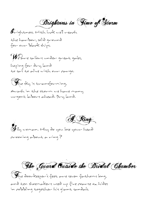Brightness in Fime of Storm

brightness. With luck we'll reach the harbor, solid ground for our black ships.

We are sailors under great gales, hoping for dry land to sail to alive with our cargo.

The sky is transforming, Awash in the storm we have many urgent labors ahead. Dry land.

Silly woman. Why do you loseyour head crooning about a ring? A Ring

The Guard Outside the Bridal Chamber

The doorkeeper's feet are seven fathoms long, and ten shoemakers used up five coarse ox hides in cobbling together his giant sandals.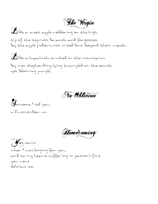**The Virgin** 

Like <sup>a</sup> sweet apple reddening on the high tip of the topmost branch and forgotten by the apple pickers, not missed but beyond their reach.

Like <sup>a</sup> hyacinth crushed in the mountains by men shepherding, lying trampled on the earth yet blooming purple.

No Oblivion

Someone, <sup>I</sup> tell you, will remember us.

Homecoming

You came when I was longing for you, and to my heart suffering in passion's fire you were delicious ice.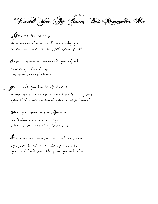Friend You Are Gone, But Remember Me

G<sup>o</sup> and be happy. But remember me, for surely you know how we worshipped you. If not,

then <sup>I</sup> want to remind you of all the exquisite days we two shared; how

you took garlands of violets, crocuses and roses, and when by my side you tied them round you in soft bands,

and you took many flowers and flung them in loops about your sapling throat,

how the air was rich with <sup>a</sup> scent of queenly spices made of myrrh you rubbed smoothly on your limbs,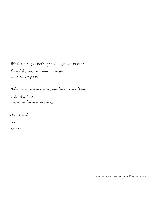and on soft beds, gently, your desire for delicate young women was satisfied,

and how there was no dance and no

holy shrine we two didn't shave,

n<sup>o</sup> sound,

no

grove.

translated by Willis Barnstone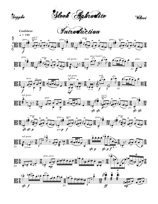



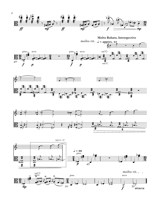









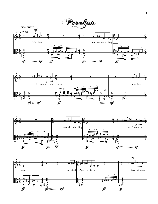





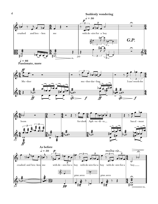







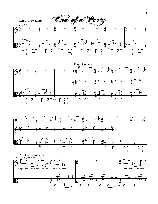





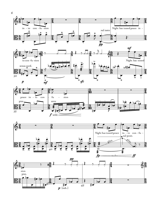







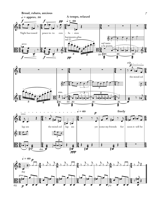





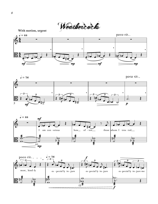Weathercocks







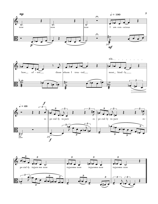





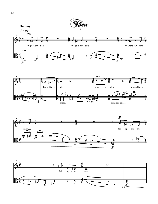





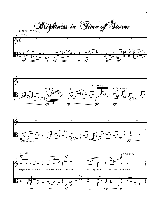**Gentle** Brightness in Vime of Storm







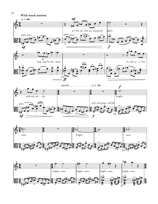





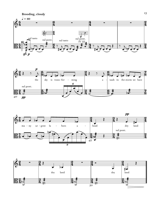





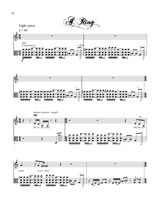





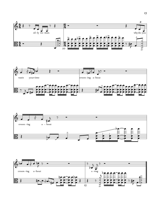





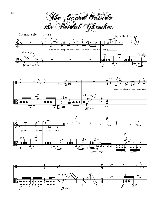The Guard Outside







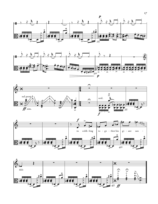







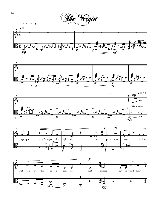







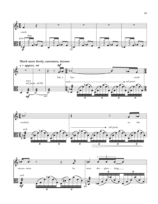

**Much more freely, sustenuto, intense**





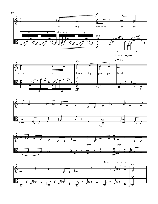









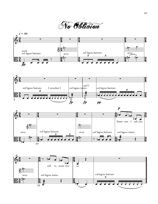No Oblivion







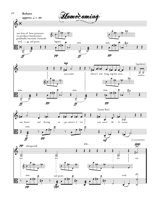





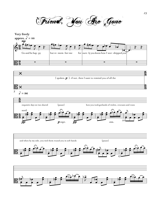Friend, You Are Gone